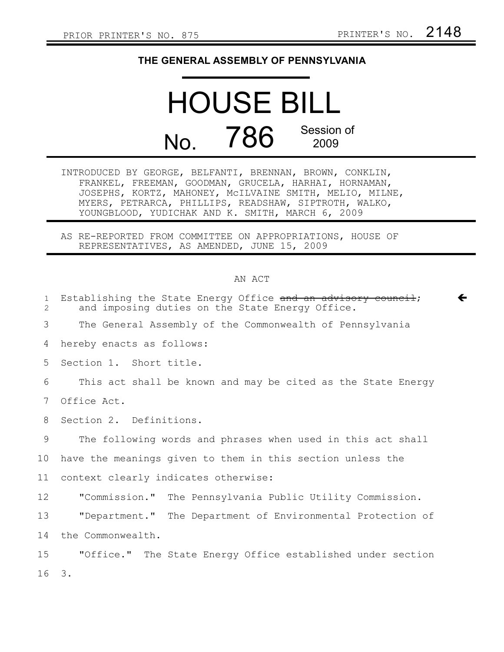## **THE GENERAL ASSEMBLY OF PENNSYLVANIA**

## HOUSE BILL No. 786 Session of 2009

INTRODUCED BY GEORGE, BELFANTI, BRENNAN, BROWN, CONKLIN, FRANKEL, FREEMAN, GOODMAN, GRUCELA, HARHAI, HORNAMAN, JOSEPHS, KORTZ, MAHONEY, McILVAINE SMITH, MELIO, MILNE, MYERS, PETRARCA, PHILLIPS, READSHAW, SIPTROTH, WALKO, YOUNGBLOOD, YUDICHAK AND K. SMITH, MARCH 6, 2009

AS RE-REPORTED FROM COMMITTEE ON APPROPRIATIONS, HOUSE OF REPRESENTATIVES, AS AMENDED, JUNE 15, 2009

## AN ACT

| $\mathbf{1}$<br>$\overline{2}$ | Establishing the State Energy Office and an advisory council;<br>←<br>and imposing duties on the State Energy Office. |
|--------------------------------|-----------------------------------------------------------------------------------------------------------------------|
| 3                              | The General Assembly of the Commonwealth of Pennsylvania                                                              |
| 4                              | hereby enacts as follows:                                                                                             |
| 5                              | Section 1. Short title.                                                                                               |
| 6                              | This act shall be known and may be cited as the State Energy                                                          |
| 7                              | Office Act.                                                                                                           |
| 8                              | Section 2. Definitions.                                                                                               |
| 9                              | The following words and phrases when used in this act shall                                                           |
| 10                             | have the meanings given to them in this section unless the                                                            |
| 11                             | context clearly indicates otherwise:                                                                                  |
| 12 <sup>°</sup>                | "Commission." The Pennsylvania Public Utility Commission.                                                             |
| 13                             | "Department." The Department of Environmental Protection of                                                           |
| 14                             | the Commonwealth.                                                                                                     |
| 15                             | "Office." The State Energy Office established under section                                                           |
| 16                             | 3.                                                                                                                    |
|                                |                                                                                                                       |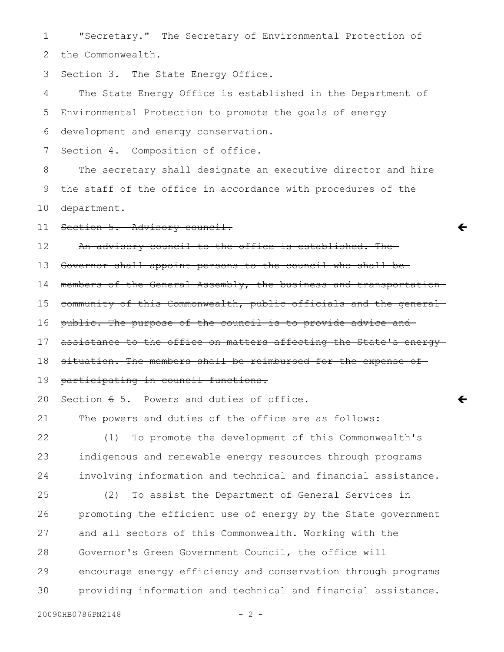"Secretary." The Secretary of Environmental Protection of 1

the Commonwealth. 2

Section 3. The State Energy Office. 3

The State Energy Office is established in the Department of Environmental Protection to promote the goals of energy development and energy conservation. 4 5 6

Section 4. Composition of office. 7

The secretary shall designate an executive director and hire the staff of the office in accordance with procedures of the department. 8 9 10

Section 5. Advisory council. 11

An advisory council to the office is established. The 12

Governor shall appoint persons to the council who shall be 13

members of the General Assembly, the business and transportation 14

 $\leftarrow$ 

 $\overline{\mathbf{C}}$ 

community of this Commonwealth, public officials and the general 15

public. The purpose of the council is to provide advice and 16

assistance to the office on matters affecting the State's energy-17

situation. The members shall be reimbursed for the expense of 18

participating in council functions. 19

Section  $65$ . Powers and duties of office. 20

The powers and duties of the office are as follows: 21

(1) To promote the development of this Commonwealth's indigenous and renewable energy resources through programs involving information and technical and financial assistance. 22 23 24

(2) To assist the Department of General Services in promoting the efficient use of energy by the State government and all sectors of this Commonwealth. Working with the Governor's Green Government Council, the office will encourage energy efficiency and conservation through programs providing information and technical and financial assistance. 25 26 27 28 29 30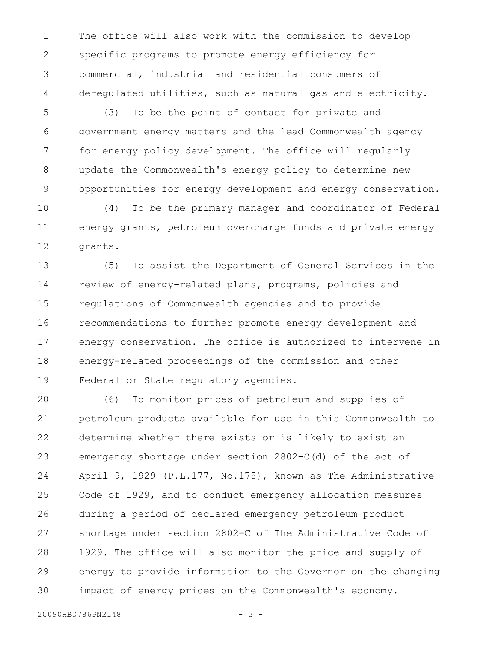The office will also work with the commission to develop specific programs to promote energy efficiency for commercial, industrial and residential consumers of deregulated utilities, such as natural gas and electricity. 1 2 3 4

(3) To be the point of contact for private and government energy matters and the lead Commonwealth agency for energy policy development. The office will regularly update the Commonwealth's energy policy to determine new opportunities for energy development and energy conservation. 5 6 7 8 9

(4) To be the primary manager and coordinator of Federal energy grants, petroleum overcharge funds and private energy grants. 10 11 12

(5) To assist the Department of General Services in the review of energy-related plans, programs, policies and regulations of Commonwealth agencies and to provide recommendations to further promote energy development and energy conservation. The office is authorized to intervene in energy-related proceedings of the commission and other Federal or State regulatory agencies. 13 14 15 16 17 18 19

(6) To monitor prices of petroleum and supplies of petroleum products available for use in this Commonwealth to determine whether there exists or is likely to exist an emergency shortage under section 2802-C(d) of the act of April 9, 1929 (P.L.177, No.175), known as The Administrative Code of 1929, and to conduct emergency allocation measures during a period of declared emergency petroleum product shortage under section 2802-C of The Administrative Code of 1929. The office will also monitor the price and supply of energy to provide information to the Governor on the changing impact of energy prices on the Commonwealth's economy. 20 21 22 23 24 25 26 27 28 29 30

20090HB0786PN2148 - 3 -